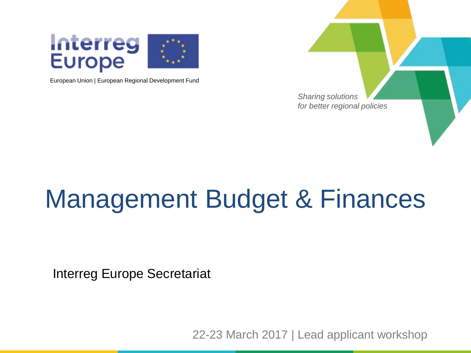

European Union | European Regional Development Fund



### Management Budget & Finances

Interreg Europe Secretariat

22-23 March 2017 | Lead applicant workshop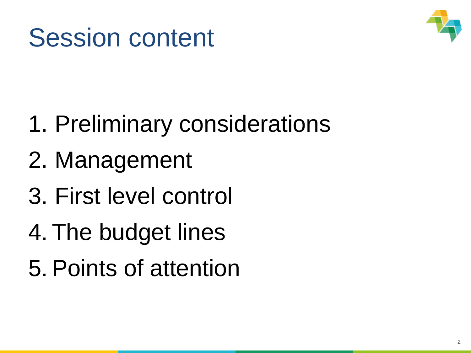



- 1. Preliminary considerations
- 2. Management
- 3. First level control
- 4. The budget lines
- 5.Points of attention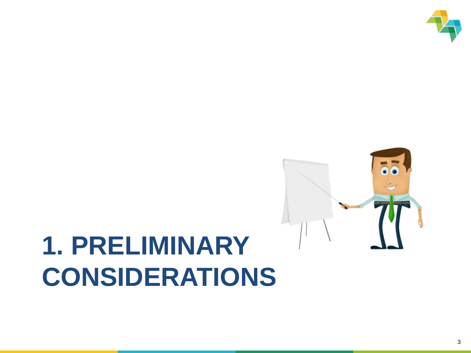

### **1. PRELIMINARY CONSIDERATIONS**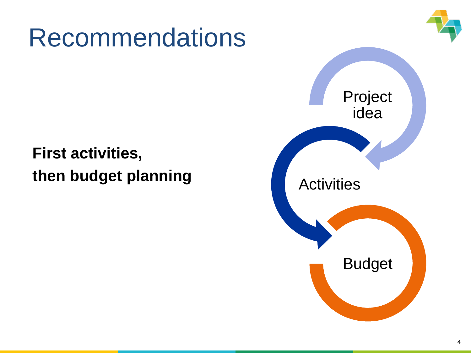### Recommendations

### **First activities, then budget planning**

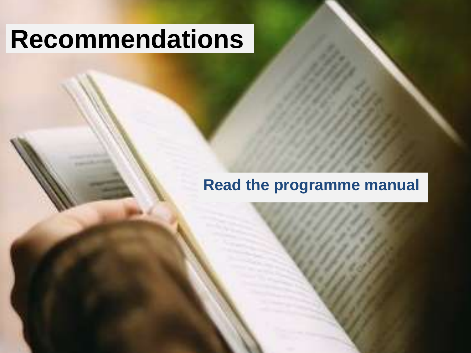### **Recommendations**

#### **Read the programme manual**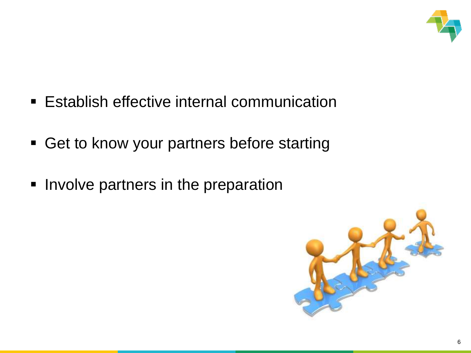

- **Establish effective internal communication**
- **Get to know your partners before starting**
- **Involve partners in the preparation**

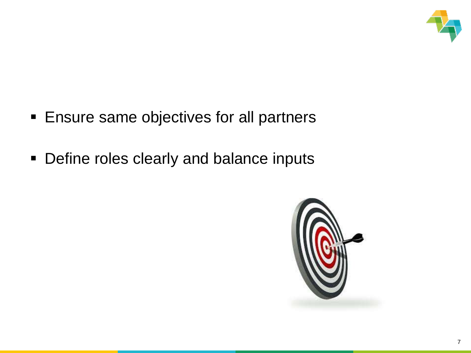

- **Ensure same objectives for all partners**
- **Define roles clearly and balance inputs**

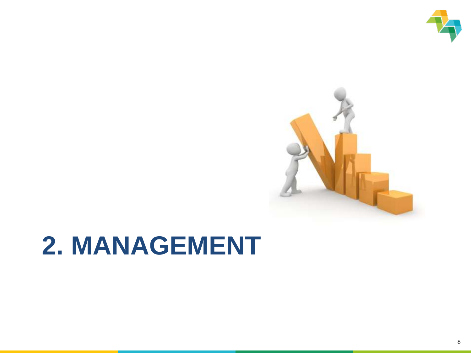



### **2. MANAGEMENT**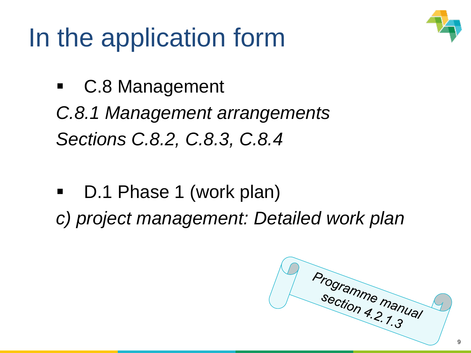### In the application form



- C.8 Management *C.8.1 Management arrangements Sections C.8.2, C.8.3, C.8.4*
- D.1 Phase 1 (work plan) *c) project management: Detailed work plan*

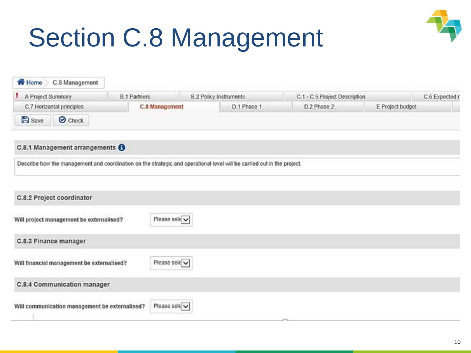# Section C.8 Management



| <b>Home</b><br>C.8 Management                                                                                           |                       |               |                               |                               |                  |
|-------------------------------------------------------------------------------------------------------------------------|-----------------------|---------------|-------------------------------|-------------------------------|------------------|
| ۰.<br>A Project Summary                                                                                                 | <b>B.1 Partners</b>   |               | <b>8.2 Policy Instruments</b> | C.1 - C.5 Project Description | C.6 Expected r   |
| C.7 Horizontal principles                                                                                               | <b>C.8 Management</b> |               | D.1 Phase 1                   | D <sub>2</sub> Phase 2        | E Project budget |
| <b>B</b> Save<br>O Check                                                                                                |                       |               |                               |                               |                  |
| C.8.1 Management arrangements <sup>6</sup>                                                                              |                       |               |                               |                               |                  |
| Describe how the management and coordination on the strategic and operational level will be carried out in the project. |                       |               |                               |                               |                  |
| C.8.2 Project coordinator                                                                                               |                       |               |                               |                               |                  |
| Will project management be externalised?                                                                                |                       | Please sele v |                               |                               |                  |
| C.8.3 Finance manager                                                                                                   |                       |               |                               |                               |                  |
| Will financial management be externalised?                                                                              |                       | Please sele   |                               |                               |                  |
| C.8.4 Communication manager                                                                                             |                       |               |                               |                               |                  |
| Will communication management be externalised?                                                                          |                       | Please sele   |                               | Colorado                      |                  |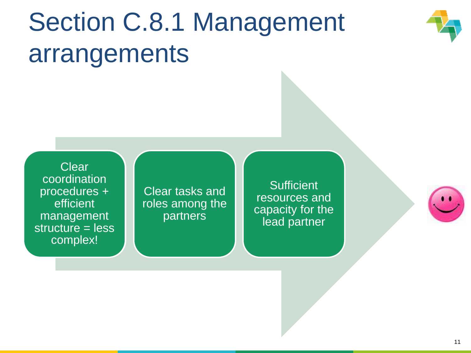## Section C.8.1 Management arrangements



**Clear** coordination procedures + efficient management structure = less complex!

Clear tasks and roles among the partners

**Sufficient** resources and capacity for the lead partner

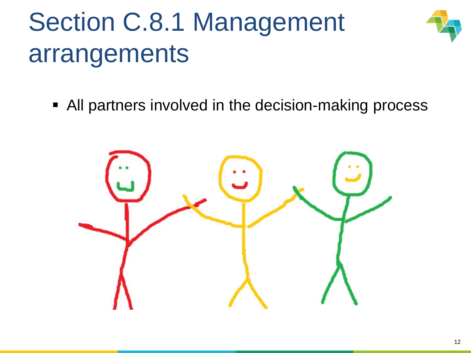# Section C.8.1 Management arrangements



All partners involved in the decision-making process

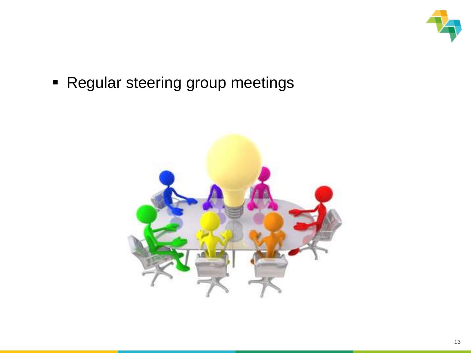

**- Regular steering group meetings** 

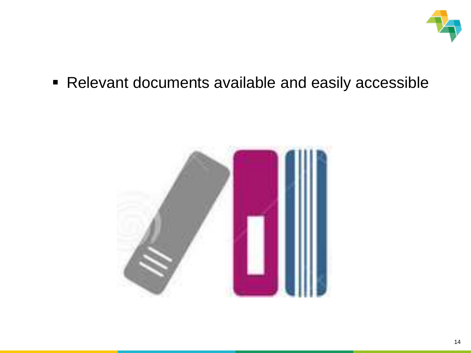

Relevant documents available and easily accessible

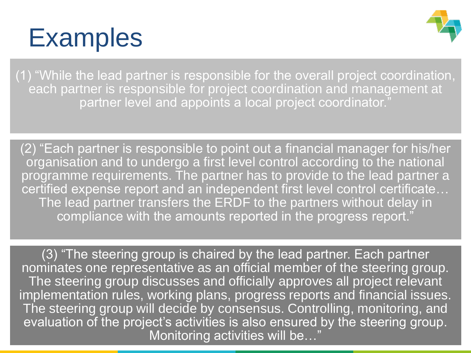### **Examples**



(1) "While the lead partner is responsible for the overall project coordination, each partner is responsible for project coordination and management at partner level and appoints a local project coordinator."

(2) "Each partner is responsible to point out a financial manager for his/her organisation and to undergo a first level control according to the national programme requirements. The partner has to provide to the lead partner a certified expense report and an independent first level control certificate… The lead partner transfers the ERDF to the partners without delay in compliance with the amounts reported in the progress report."

(3) "The steering group is chaired by the lead partner. Each partner nominates one representative as an official member of the steering group. The steering group discusses and officially approves all project relevant implementation rules, working plans, progress reports and financial issues. The steering group will decide by consensus. Controlling, monitoring, and evaluation of the project's activities is also ensured by the steering group. Monitoring activities will be…"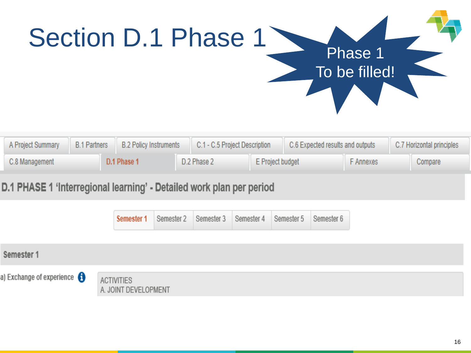

| A Project Summary             | B.1 Partners   B.2 Policy Instruments | C.1 - C.5 Project Description |  | C.6 Expected results and outputs |  | C.7 Horizontal principles |  |
|-------------------------------|---------------------------------------|-------------------------------|--|----------------------------------|--|---------------------------|--|
| C.8 Management<br>D.1 Phase 1 |                                       | D.2 Phase 2                   |  | E Project budget                 |  | Compare                   |  |

#### D.1 PHASE 1 'Interregional learning' - Detailed work plan per period

|                                       | Semester 1                                | Semester 2   Semester 3   Semester 4   Semester 5   Semester 6 |  |  |
|---------------------------------------|-------------------------------------------|----------------------------------------------------------------|--|--|
| Semester 1                            |                                           |                                                                |  |  |
| a) Exchange of experience $\bigoplus$ | <b>ACTIVITIES</b><br>A. JOINT DEVELOPMENT |                                                                |  |  |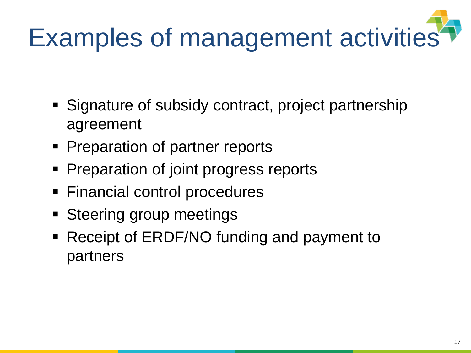# Examples of management activities

- Signature of subsidy contract, project partnership agreement
- **Preparation of partner reports**
- **Preparation of joint progress reports**
- **Financial control procedures**
- Steering group meetings
- Receipt of ERDF/NO funding and payment to partners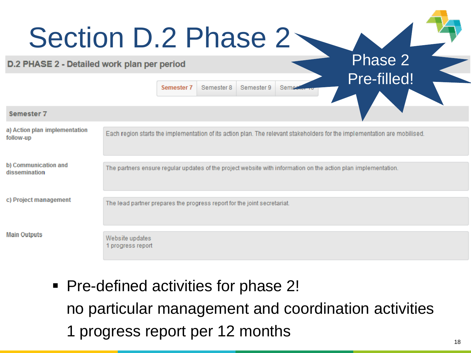|                                             | Section D.2 Phase 2<br>Phase 2                                                                                            |  |
|---------------------------------------------|---------------------------------------------------------------------------------------------------------------------------|--|
| D.2 PHASE 2 - Detailed work plan per period | Pre-filled!                                                                                                               |  |
|                                             | Semester 8<br>Semester 9<br>Semeste<br>Semester <sub>7</sub>                                                              |  |
| <b>Semester 7</b>                           |                                                                                                                           |  |
| a) Action plan implementation<br>follow-up  | Each region starts the implementation of its action plan. The relevant stakeholders for the implementation are mobilised. |  |
| b) Communication and<br>dissemination       | The partners ensure regular updates of the project website with information on the action plan implementation.            |  |
| c) Project management                       | The lead partner prepares the progress report for the joint secretariat.                                                  |  |
| <b>Main Outputs</b>                         | Website updates<br>1 progress report                                                                                      |  |

 Pre-defined activities for phase 2! no particular management and coordination activities 1 progress report per 12 months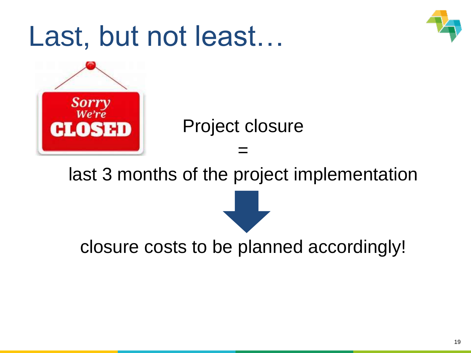





Project closure

last 3 months of the project implementation

=

closure costs to be planned accordingly!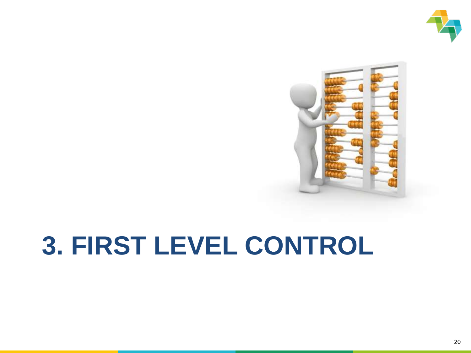



### **3. FIRST LEVEL CONTROL**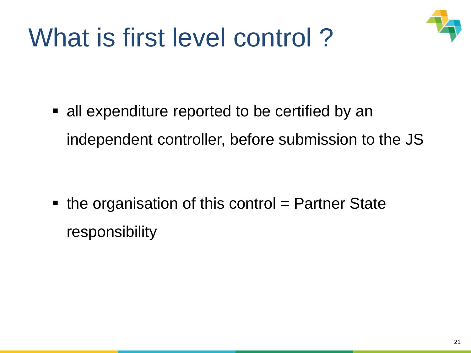

### What is first level control ?

 all expenditure reported to be certified by an independent controller, before submission to the JS

 $\blacksquare$  the organisation of this control = Partner State responsibility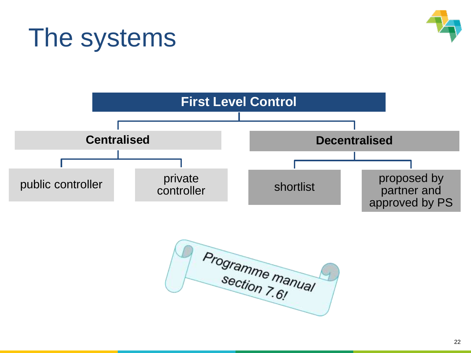### The systems





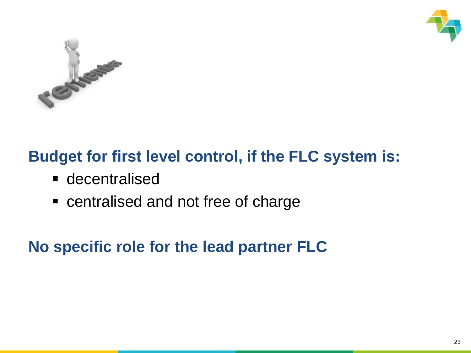



### **Budget for first level control, if the FLC system is:**

- **decentralised**
- centralised and not free of charge

**No specific role for the lead partner FLC**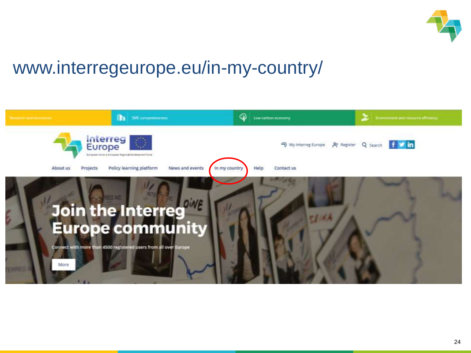

### www.interregeurope.eu/in-my-country/

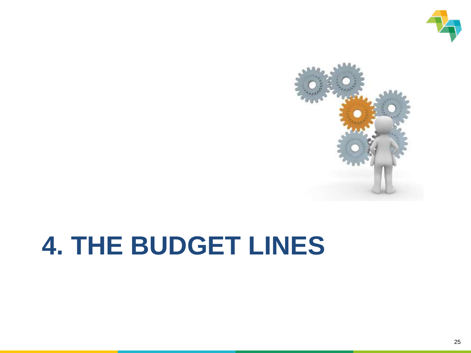



### **4. THE BUDGET LINES**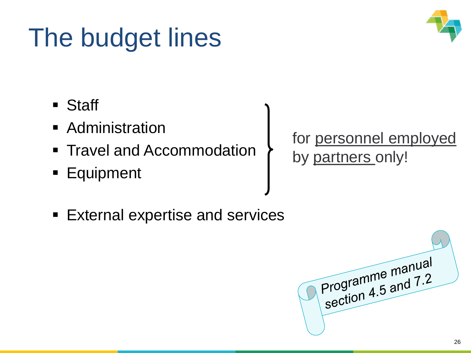### The budget lines



- Staff
- **Administration**
- **Travel and Accommodation**
- **Equipment**

for personnel employed by partners only!

**External expertise and services** 

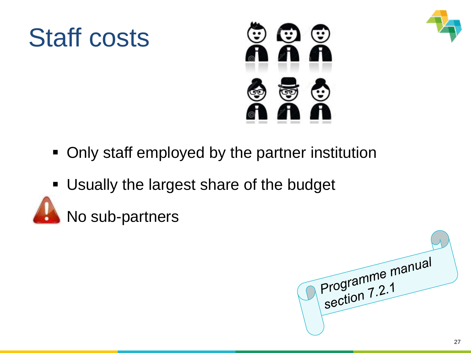

### Staff costs



- Only staff employed by the partner institution
- Usually the largest share of the budget



No sub-partners

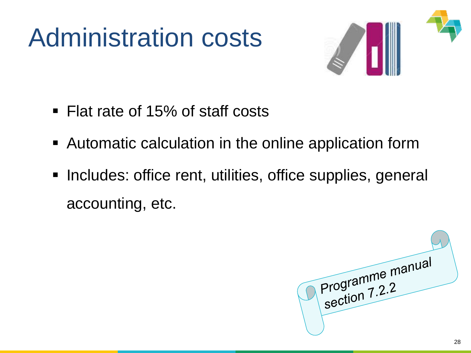### Administration costs



- Flat rate of 15% of staff costs
- Automatic calculation in the online application form
- **Includes: office rent, utilities, office supplies, general** accounting, etc.

Programme manual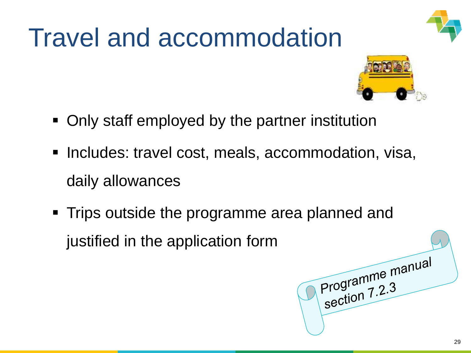### Travel and accommodation

- Only staff employed by the partner institution
- **Includes: travel cost, meals, accommodation, visa,** daily allowances
- Trips outside the programme area planned and justified in the application form





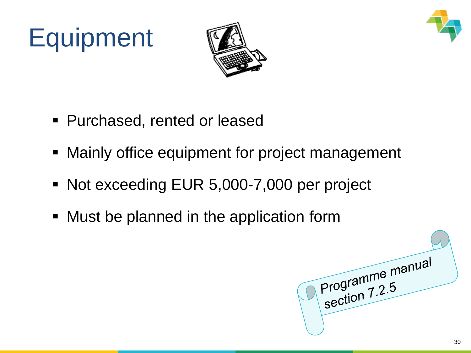

# **Equipment**



- Purchased, rented or leased
- **Mainly office equipment for project management**
- Not exceeding EUR 5,000-7,000 per project
- **Must be planned in the application form**

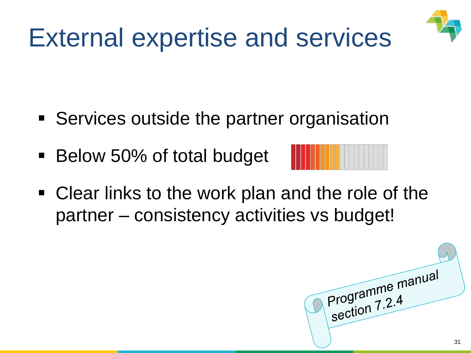

- Services outside the partner organisation
- Below 50% of total budget



 Clear links to the work plan and the role of the partner – consistency activities vs budget!

Programme manual 31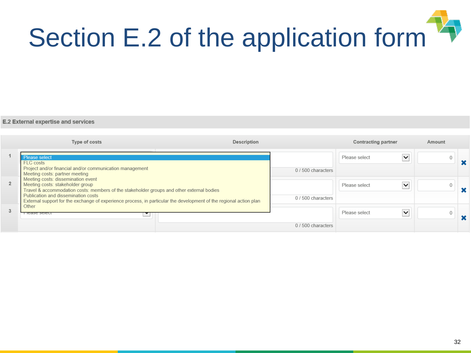

|                | Type of costs                                                                                                                                                                                                                                                                                                                    | Description |                    | Contracting partner           | Amount |  |
|----------------|----------------------------------------------------------------------------------------------------------------------------------------------------------------------------------------------------------------------------------------------------------------------------------------------------------------------------------|-------------|--------------------|-------------------------------|--------|--|
|                | Please select<br>FLC costs<br>Project and/or financial and/or communication management<br>Meeting costs: partner meeting                                                                                                                                                                                                         |             | 0 / 500 characters | $\checkmark$<br>Please select | 0      |  |
| $\overline{2}$ | Meeting costs: dissemination event<br>Meeting costs: stakeholder group<br>Travel & accommodation costs: members of the stakeholder groups and other external bodies<br>Publication and dissemination costs<br>External support for the exchange of experience process, in particular the development of the regional action plan |             | 0 / 500 characters | $\checkmark$<br>Please select |        |  |
|                | Other<br>T ICASE SCIELI                                                                                                                                                                                                                                                                                                          |             | 0 / 500 characters | Please select<br>$\check{ }$  |        |  |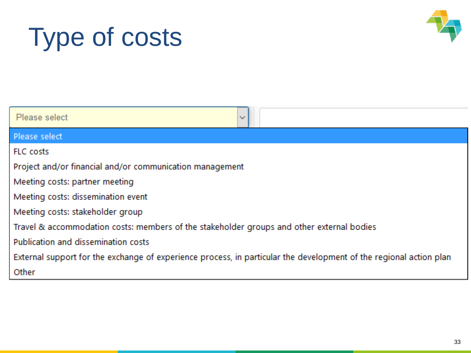## Type of costs



| Please select<br>$\sim$                                                                                            |  |
|--------------------------------------------------------------------------------------------------------------------|--|
| Please select                                                                                                      |  |
| <b>FLC</b> costs                                                                                                   |  |
| Project and/or financial and/or communication management                                                           |  |
| Meeting costs: partner meeting                                                                                     |  |
| Meeting costs: dissemination event                                                                                 |  |
| Meeting costs: stakeholder group                                                                                   |  |
| Travel & accommodation costs: members of the stakeholder groups and other external bodies                          |  |
| Publication and dissemination costs                                                                                |  |
| External support for the exchange of experience process, in particular the development of the regional action plan |  |
| Other                                                                                                              |  |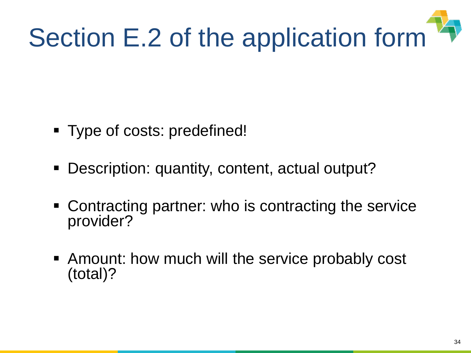

- Type of costs: predefined!
- **Description: quantity, content, actual output?**
- Contracting partner: who is contracting the service provider?
- Amount: how much will the service probably cost (total)?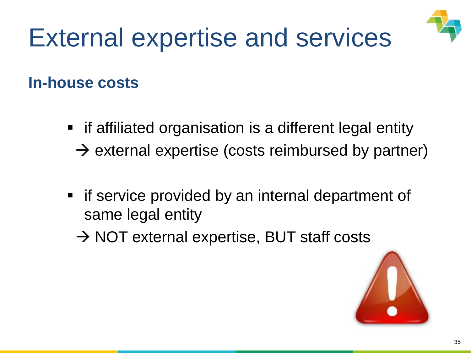

#### **In-house costs**

- if affiliated organisation is a different legal entity
	- $\rightarrow$  external expertise (costs reimbursed by partner)
- **F** if service provided by an internal department of same legal entity
	- $\rightarrow$  NOT external expertise, BUT staff costs

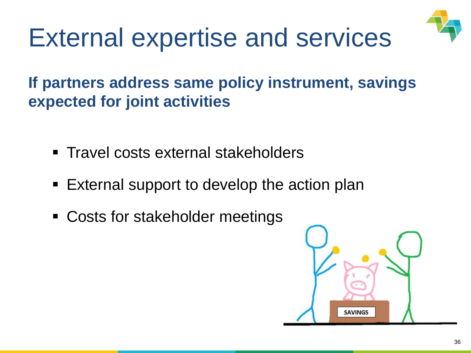

**If partners address same policy instrument, savings expected for joint activities**

- **Travel costs external stakeholders**
- External support to develop the action plan
- Costs for stakeholder meetings

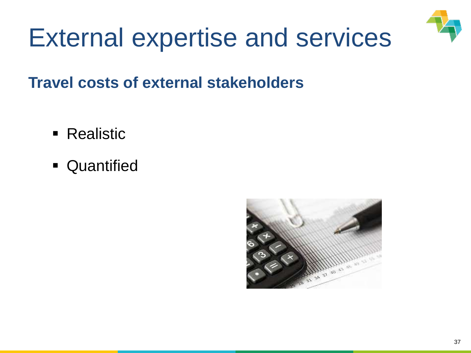

**Travel costs of external stakeholders**

- **Realistic**
- **Quantified**

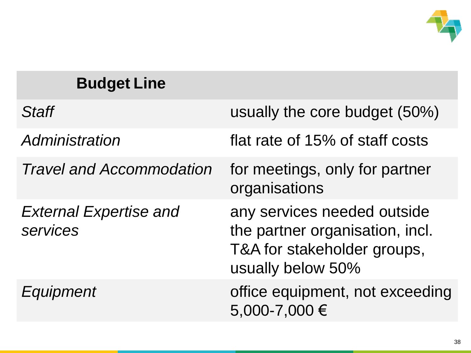

| <b>Budget Line</b>                        |                                                                                                                    |
|-------------------------------------------|--------------------------------------------------------------------------------------------------------------------|
| Staff                                     | usually the core budget (50%)                                                                                      |
| Administration                            | flat rate of 15% of staff costs                                                                                    |
| <b>Travel and Accommodation</b>           | for meetings, only for partner<br>organisations                                                                    |
| <b>External Expertise and</b><br>services | any services needed outside<br>the partner organisation, incl.<br>T&A for stakeholder groups,<br>usually below 50% |
| <b>Equipment</b>                          | office equipment, not exceeding<br>5,000-7,000 €                                                                   |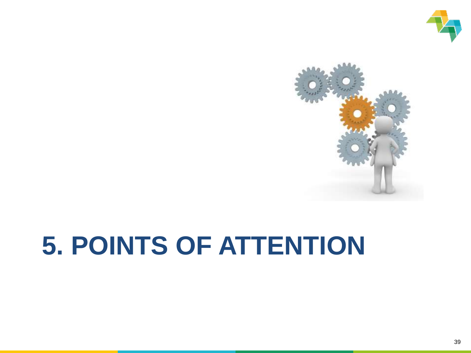



# **5. POINTS OF ATTENTION**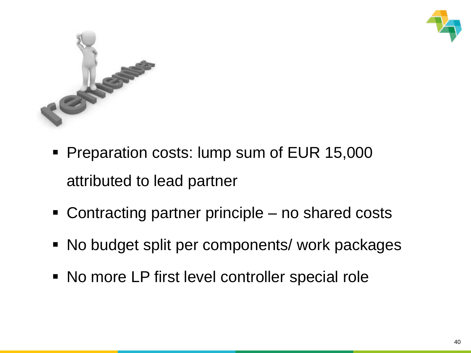



- **Preparation costs: lump sum of EUR 15,000** attributed to lead partner
- Contracting partner principle no shared costs
- No budget split per components/ work packages
- No more LP first level controller special role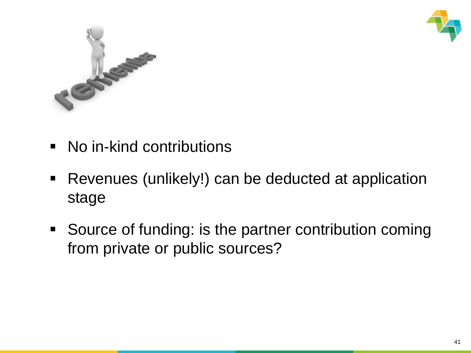



- No in-kind contributions
- Revenues (unlikely!) can be deducted at application stage
- Source of funding: is the partner contribution coming from private or public sources?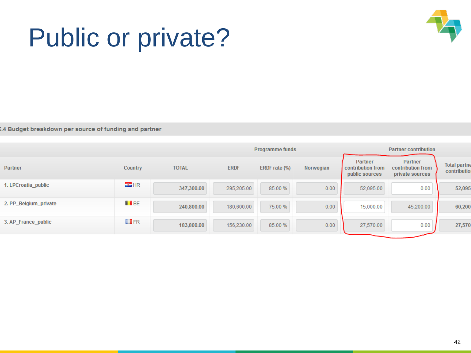### Public or private?



.<br>4 Budget breakdown per source of funding and partner

|                       |                   |              | Programme funds<br><b>Partner contribution</b> |               |           |                                                |                                                        |                                     |
|-----------------------|-------------------|--------------|------------------------------------------------|---------------|-----------|------------------------------------------------|--------------------------------------------------------|-------------------------------------|
| Partner               | Country           | <b>TOTAL</b> | <b>ERDF</b>                                    | ERDF rate (%) | Norwegian | Partner<br>contribution from<br>public sources | <b>Partner</b><br>contribution from<br>private sources | <b>Total partne</b><br>contribution |
| 1. LPCroatia public   | $\mathbb{Z}$ HR   | 347,300.00   | 295,205.00                                     | 85.00 %       | 0.00      | 52,095.00                                      | 0.00                                                   | 52,095                              |
| 2. PP_Belgium_private | <b>T</b> BE       | 240,800.00   | 180,600.00                                     | 75.00 %       | 0.00      | 15,000.00                                      | 45,200.00                                              | 60,200                              |
| 3. AP_France_public   | $\blacksquare$ FR | 183,800.00   | 156,230.00                                     | 85.00 %       | 0.00      | 27,570.00                                      | 0.00                                                   | 27,570                              |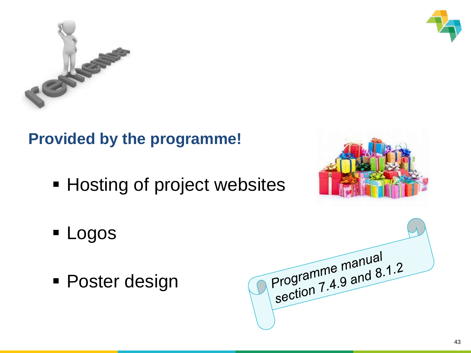



### **Provided by the programme!**

**- Hosting of project websites** 



- **Logos**
- **Poster design**

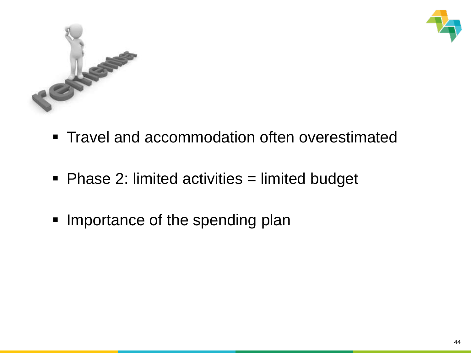



- **Travel and accommodation often overestimated**
- Phase 2: limited activities = limited budget
- Importance of the spending plan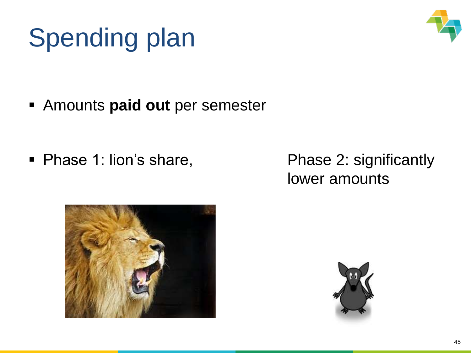# Spending plan



Amounts **paid out** per semester

• Phase 1: lion's share, Phase 2: significantly

lower amounts



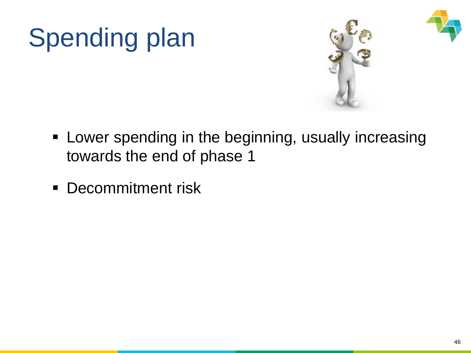# Spending plan





- **EXTE:** Lower spending in the beginning, usually increasing towards the end of phase 1
- **Decommitment risk**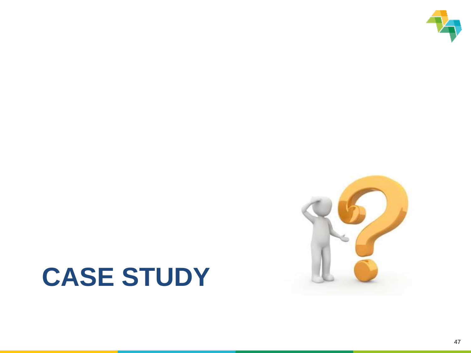

### **CASE STUDY**

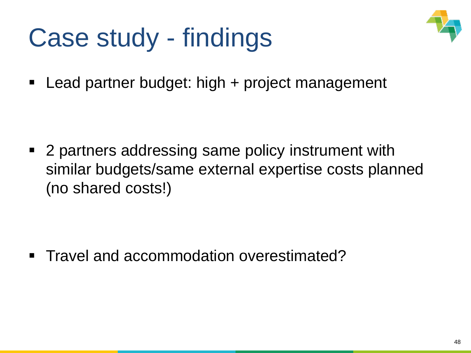### Case study - findings



■ Lead partner budget: high + project management

■ 2 partners addressing same policy instrument with similar budgets/same external expertise costs planned (no shared costs!)

■ Travel and accommodation overestimated?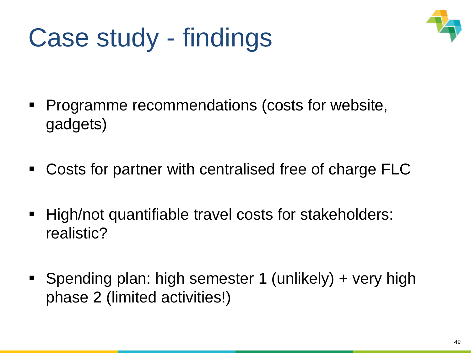### Case study - findings



- Programme recommendations (costs for website, gadgets)
- Costs for partner with centralised free of charge FLC
- High/not quantifiable travel costs for stakeholders: realistic?
- Spending plan: high semester 1 (unlikely) + very high phase 2 (limited activities!)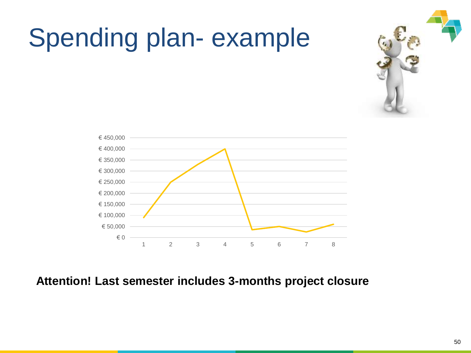

### Spending plan- example

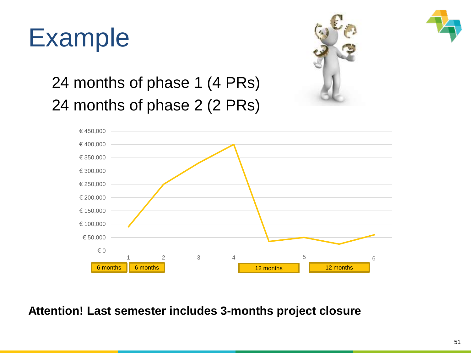



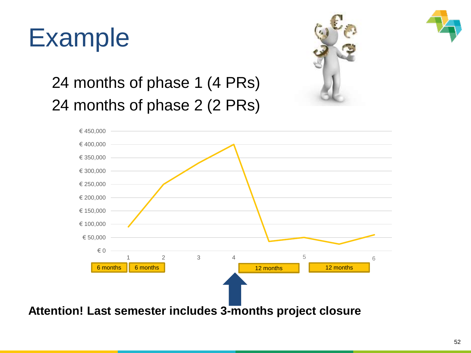



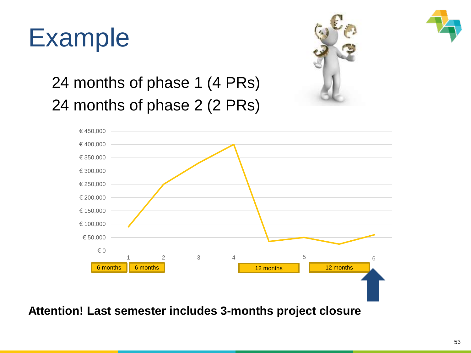



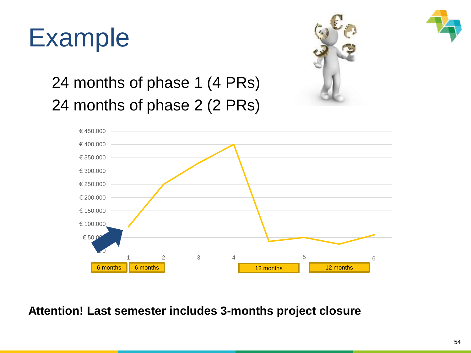



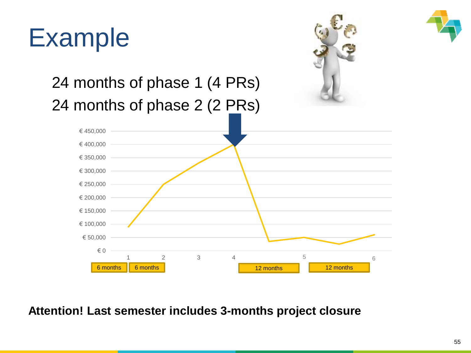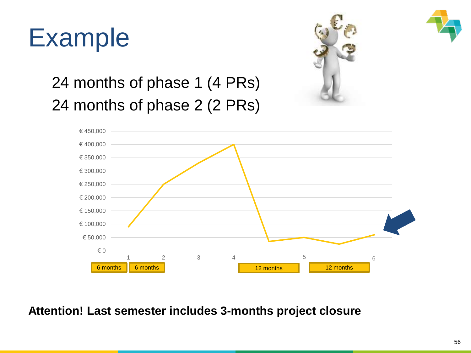



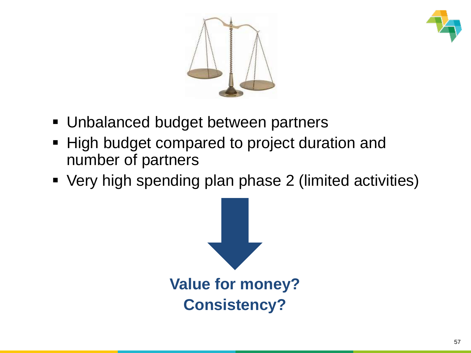



- **Unbalanced budget between partners**
- High budget compared to project duration and number of partners
- Very high spending plan phase 2 (limited activities)

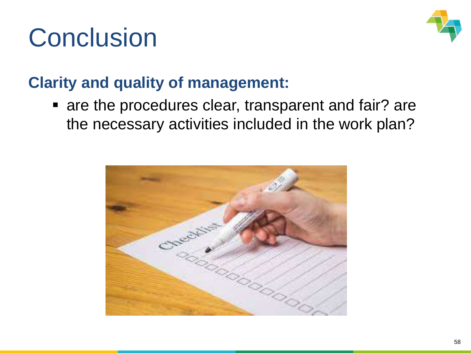## **Conclusion**



### **Clarity and quality of management:**

**Example 2 resparent and fair? are seare in the procedures clear, transparent and fair? are** the necessary activities included in the work plan?

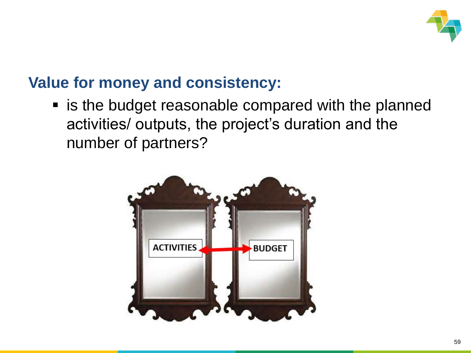

#### **Value for money and consistency:**

■ is the budget reasonable compared with the planned activities/ outputs, the project's duration and the number of partners?

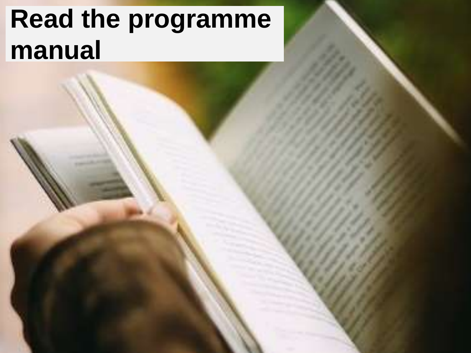# **Read the programme manual**